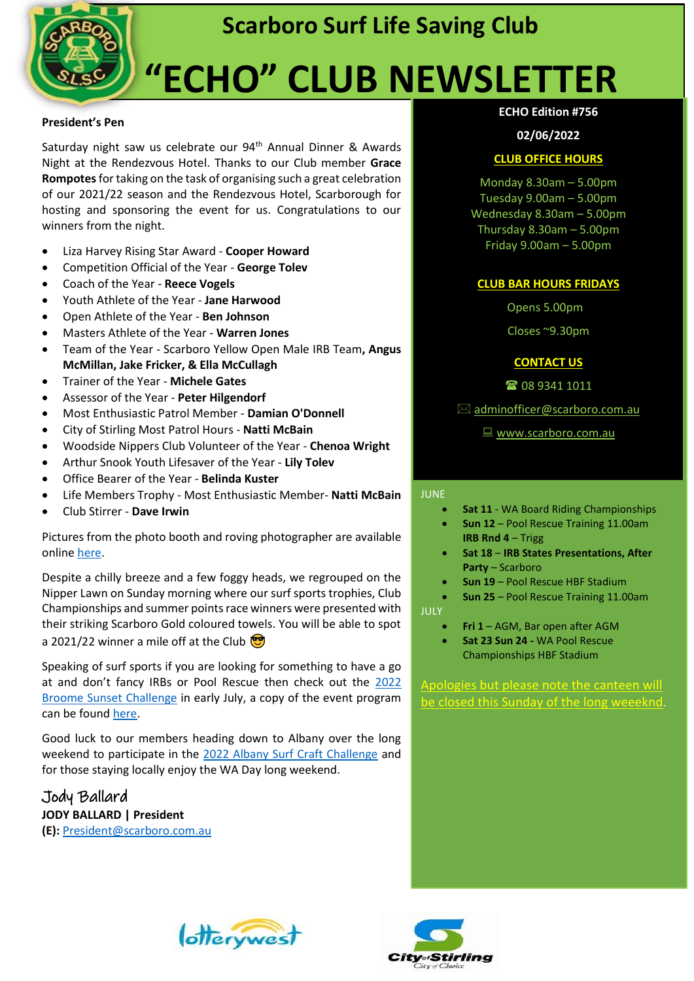

### **Scarboro Surf Life Saving Club**

# **"ECHO" CLUB NEWSLETTER**

#### **President's Pen**

Saturday night saw us celebrate our 94<sup>th</sup> Annual Dinner & Awards Night at the Rendezvous Hotel. Thanks to our Club member **Grace Rompotes**for taking on the task of organising such a great celebration of our 2021/22 season and the Rendezvous Hotel, Scarborough for hosting and sponsoring the event for us. Congratulations to our winners from the night.

- Liza Harvey Rising Star Award **Cooper Howard**
- Competition Official of the Year **George Tolev**
- Coach of the Year **Reece Vogels**
- Youth Athlete of the Year **Jane Harwood**
- Open Athlete of the Year **Ben Johnson**
- Masters Athlete of the Year **Warren Jones**
- Team of the Year Scarboro Yellow Open Male IRB Team**, Angus McMillan, Jake Fricker, & Ella McCullagh**
- Trainer of the Year **Michele Gates**
- Assessor of the Year **Peter Hilgendorf**
- Most Enthusiastic Patrol Member **Damian O'Donnell**
- City of Stirling Most Patrol Hours **Natti McBain**
- Woodside Nippers Club Volunteer of the Year **Chenoa Wright**
- Arthur Snook Youth Lifesaver of the Year **Lily Tolev**
- Office Bearer of the Year **Belinda Kuster**
- Life Members Trophy Most Enthusiastic Member- **Natti McBain**
- Club Stirrer **Dave Irwin**

Pictures from the photo booth and roving photographer are available online [here.](https://www.facebook.com/media/set/?vanity=scarborosurflifesavingclub&set=a.5242861185736842)

Despite a chilly breeze and a few foggy heads, we regrouped on the Nipper Lawn on Sunday morning where our surf sports trophies, Club Championships and summer points race winners were presented with their striking Scarboro Gold coloured towels. You will be able to spot a 2021/22 winner a mile off at the Club  $\circled{3}$ 

Speaking of surf sports if you are looking for something to have a go at and don't fancy IRBs or Pool Rescue then check out the [2022](https://www.broomeslsc.com/sunsets)  [Broome Sunset Challenge](https://www.broomeslsc.com/sunsets) in early July, a copy of the event program can be found [here.](https://fremantlesurfclub.com.au/wp-content/uploads/2022/05/Broome-Sunset-Challenge-Program-2022-002.pdf)

Good luck to our members heading down to Albany over the long weekend to participate in the [2022 Albany Surf Craft Challenge](https://albanysurfclub.com.au/events/2022-albany-surf-craft-challenge/) and for those staying locally enjoy the WA Day long weekend.

Jody Ballard **JODY BALLARD | President (E):** [President@scarboro.com.au](mailto:President@scarboro.com.au)

#### **ECHO Edition #756**

#### **02/06/2022**

#### **CLUB OFFICE HOURS**

Monday 8.30am – 5.00pm Tuesday 9.00am – 5.00pm Wednesday 8.30am – 5.00pm Thursday 8.30am – 5.00pm Friday 9.00am – 5.00pm

#### **CLUB BAR HOURS FRIDAYS**

Opens 5.00pm

Closes ~9.30pm

#### **CONTACT US**

☎ 08 9341 1011

**UPCOMING EVENTS** [adminofficer@scarboro.com.au](mailto:adminofficer@scarboro.com.au)

■ [www.scarboro.com.au](http://www.scarboro.com.au/)

#### **JUNE**

- **Sat 11** WA Board Riding Championships
- **Sun 12** Pool Rescue Training 11.00am
- **IRB Rnd 4** Trigg • **Sat 18** – **IRB States Presentations, After**
- **Party** Scarboro
- **Sun 19**  Pool Rescue HBF Stadium
- **Sun 25**  Pool Rescue Training 11.00am

JULY

- **Fri 1** AGM, Bar open after AGM
- **Sat 23 Sun 24 -** WA Pool Rescue Championships HBF Stadium

Apologies but please note the canteen will be closed this Sunday of the long weeeknd.



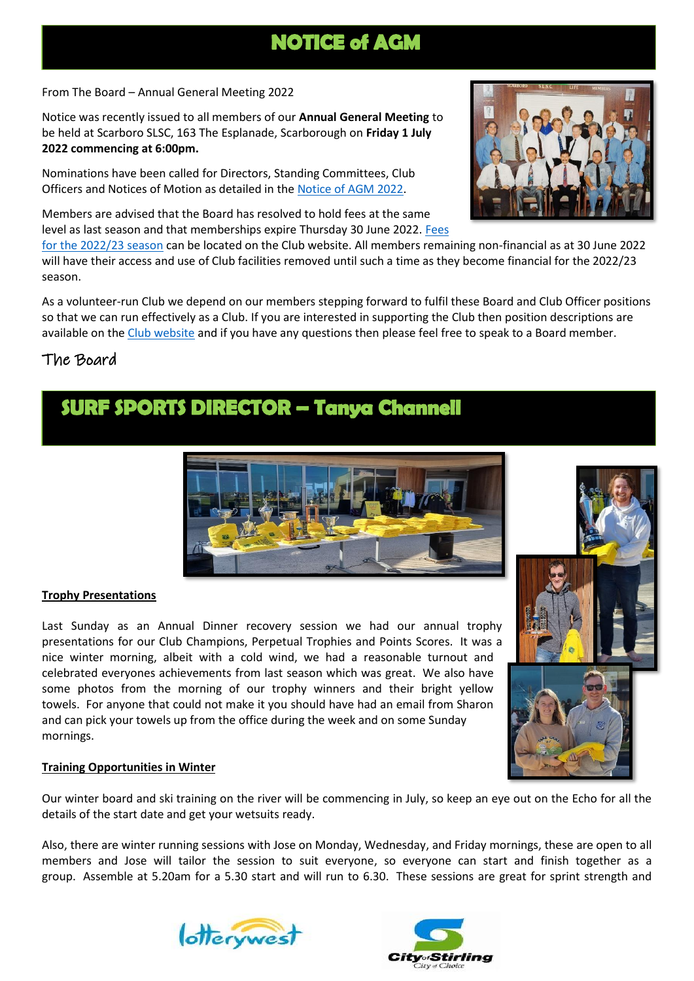### **NOTICE of AGM**

From The Board – Annual General Meeting 2022

Notice was recently issued to all members of our **Annual General Meeting** to be held at Scarboro SLSC, 163 The Esplanade, Scarborough on **Friday 1 July 2022 commencing at 6:00pm.**

Nominations have been called for Directors, Standing Committees, Club Officers and Notices of Motion as detailed in the [Notice of AGM 2022.](http://www.scarboro.com.au/wp-content/uploads/2022/05/Notice-of-AGM-2022.pdf)

Members are advised that the Board has resolved to hold fees at the same level as last season and that memberships expire Thursday 30 June 2022. [Fees](http://www.scarboro.com.au/wp-content/uploads/2022/05/Current-Membership-Fees_250522.pdf) 

[for the 2022/23 season](http://www.scarboro.com.au/wp-content/uploads/2022/05/Current-Membership-Fees_250522.pdf) can be located on the Club website. All members remaining non-financial as at 30 June 2022 will have their access and use of Club facilities removed until such a time as they become financial for the 2022/23 season.

As a volunteer-run Club we depend on our members stepping forward to fulfil these Board and Club Officer positions so that we can run effectively as a Club. If you are interested in supporting the Club then position descriptions are available on th[e Club website](http://www.scarboro.com.au/club-structure/) and if you have any questions then please feel free to speak to a Board member.

#### The Board

I I

### **SURF SPORTS DIRECTOR - Tanya Channell**

#### **Trophy Presentations**

Last Sunday as an Annual Dinner recovery session we had our annual trophy presentations for our Club Champions, Perpetual Trophies and Points Scores. It was a nice winter morning, albeit with a cold wind, we had a reasonable turnout and celebrated everyones achievements from last season which was great. We also have some photos from the morning of our trophy winners and their bright yellow towels. For anyone that could not make it you should have had an email from Sharon and can pick your towels up from the office during the week and on some Sunday mornings.

#### **Training Opportunities in Winter**

Our winter board and ski training on the river will be commencing in July, so keep an eye out on the Echo for all the details of the start date and get your wetsuits ready.

Also, there are winter running sessions with Jose on Monday, Wednesday, and Friday mornings, these are open to all members and Jose will tailor the session to suit everyone, so everyone can start and finish together as a group. Assemble at 5.20am for a 5.30 start and will run to 6.30. These sessions are great for sprint strength and







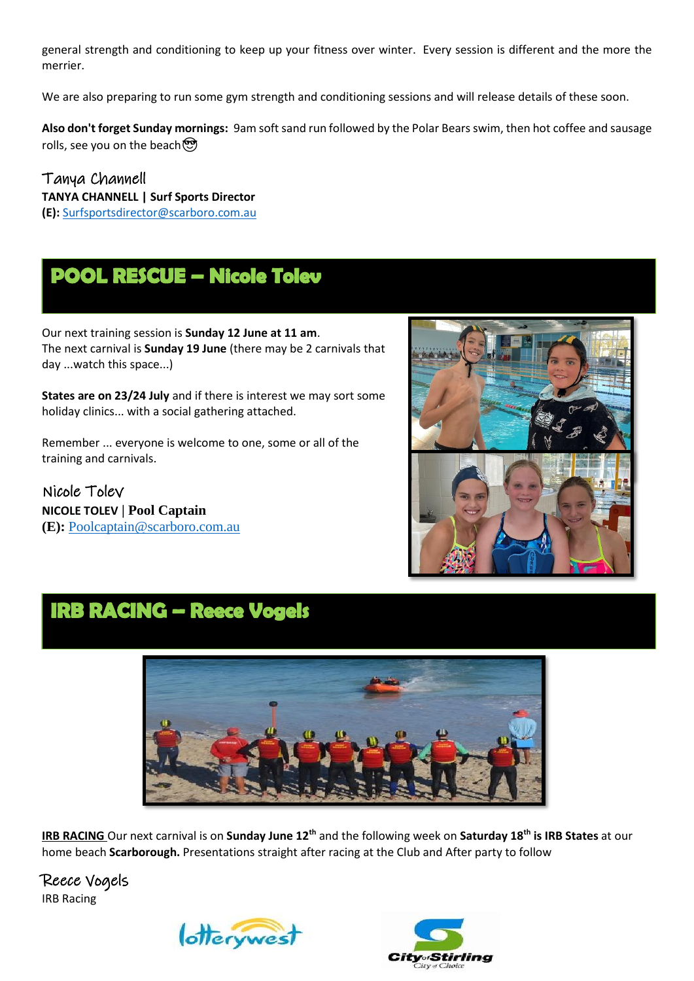general strength and conditioning to keep up your fitness over winter. Every session is different and the more the merrier.

We are also preparing to run some gym strength and conditioning sessions and will release details of these soon.

**Also don't forget Sunday mornings:** 9am soft sand run followed by the Polar Bears swim, then hot coffee and sausage rolls, see you on the beach  $\mathfrak{B}$ 

Tanya Channell **TANYA CHANNELL | Surf Sports Director (E):** [Surfsportsdirector@scarboro.com.au](mailto:Surfsportsdirector@scarboro.com.au)

### **POOL RESCUE - Nicole Tolev**

Our next training session is **Sunday 12 June at 11 am**. The next carnival is **Sunday 19 June** (there may be 2 carnivals that day ...watch this space...)

**States are on 23/24 July** and if there is interest we may sort some holiday clinics... with a social gathering attached.

Remember ... everyone is welcome to one, some or all of the training and carnivals.

Nicole Tolev **NICOLE TOLEV | Pool Captain (E):** [Poolcaptain@scarboro.com.au](mailto:Poolcaptain@scarboro.com.au)



### **IRB RACING - Reece Vogels**



**IRB RACING** Our next carnival is on **Sunday June 12th** and the following week on **Saturday 18th is IRB States** at our home beach **Scarborough.** Presentations straight after racing at the Club and After party to follow

Reece Vogels IRB Racing



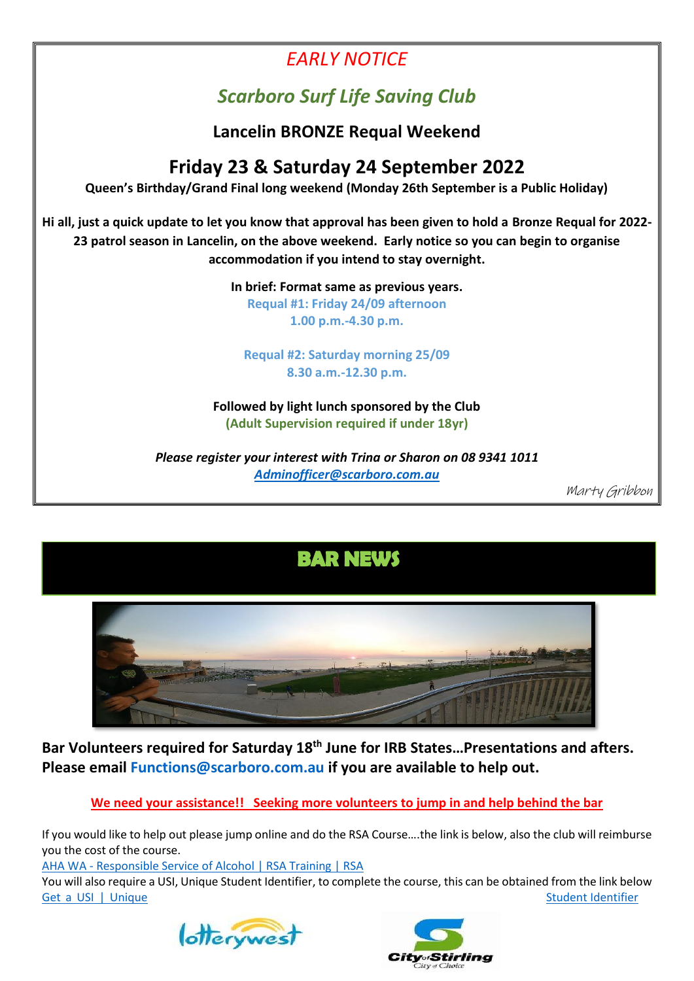### *EARLY NOTICE*

### *Scarboro Surf Life Saving Club*

**Lancelin BRONZE Requal Weekend**

### **Friday 23 & Saturday 24 September 2022**

**Queen's Birthday/Grand Final long weekend (Monday 26th September is a Public Holiday)**

**Hi all, just a quick update to let you know that approval has been given to hold a Bronze Requal for 2022- 23 patrol season in Lancelin, on the above weekend. Early notice so you can begin to organise accommodation if you intend to stay overnight.**

**In brief: Format same as previous years.**

**Requal #1: Friday 24/09 afternoon 1.00 p.m.-4.30 p.m.**

**Requal #2: Saturday morning 25/09 8.30 a.m.-12.30 p.m.** 

**Followed by light lunch sponsored by the Club (Adult Supervision required if under 18yr)**

*Please register your interest with Trina or Sharon on 08 9341 1011 [Adminofficer@scarboro.com.au](mailto:Adminofficer@scarboro.com.au)*

Marty Gribbon

### **BAR NEWS**



**Bar Volunteers required for Saturday 18th June for IRB States…Presentations and afters. Please email [Functions@scarboro.com.au](mailto:Functions@scarboro.com.au) if you are available to help out.**

**We need your assistance!! Seeking more volunteers to jump in and help behind the bar**

If you would like to help out please jump online and do the RSA Course….the link is below, also the club will reimburse you the cost of the course.

AHA WA - [Responsible Service of Alcohol | RSA Training | RSA](https://www.ahawa.asn.au/training/responsible_service_of_alcohol__rsa_.phtml)

You will also require a USI, Unique Student Identifier, to complete the course, this can be obtained from the link below [Get a USI | Unique Student Identifier](https://www.usi.gov.au/students/get-a-usi)



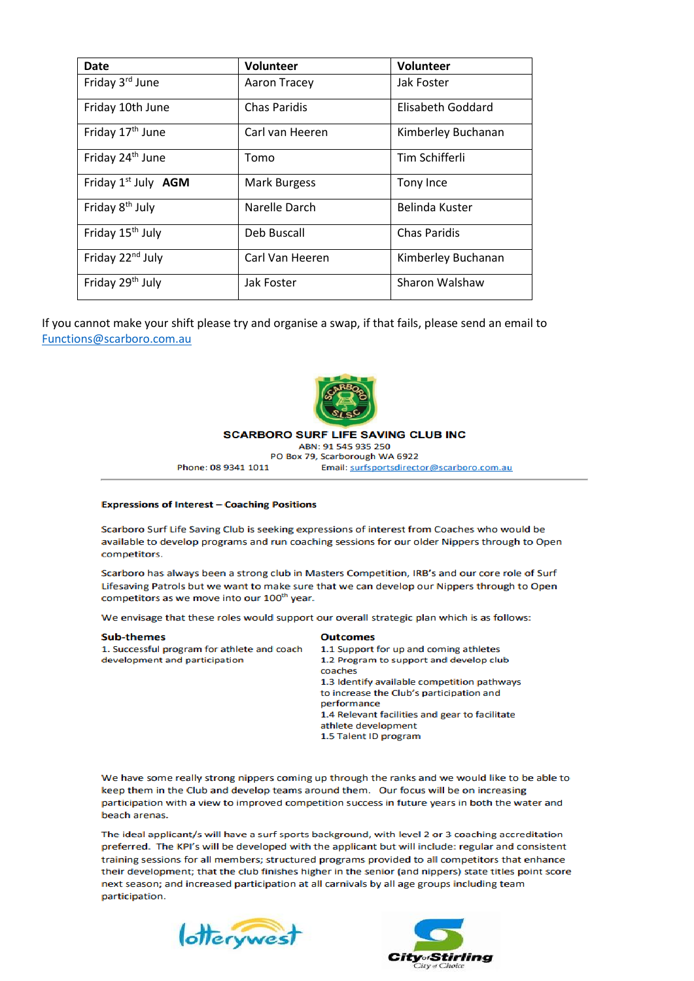| <b>Date</b>                            | Volunteer           | Volunteer           |
|----------------------------------------|---------------------|---------------------|
| Friday 3rd June                        | <b>Aaron Tracey</b> | Jak Foster          |
| Friday 10th June                       | <b>Chas Paridis</b> | Elisabeth Goddard   |
| Friday 17 <sup>th</sup> June           | Carl van Heeren     | Kimberley Buchanan  |
| Friday 24 <sup>th</sup> June           | Tomo                | Tim Schifferli      |
| Friday 1 <sup>st</sup> July <b>AGM</b> | <b>Mark Burgess</b> | Tony Ince           |
| Friday 8 <sup>th</sup> July            | Narelle Darch       | Belinda Kuster      |
| Friday 15 <sup>th</sup> July           | Deb Buscall         | <b>Chas Paridis</b> |
| Friday 22 <sup>nd</sup> July           | Carl Van Heeren     | Kimberley Buchanan  |
| Friday 29 <sup>th</sup> July           | Jak Foster          | Sharon Walshaw      |

If you cannot make your shift please try and organise a swap, if that fails, please send an email to Functions@scarboro.com.au



**SCARBORO SURF LIFE SAVING CLUB INC** ABN: 91 545 935 250

PO Box 79, Scarborough WA 6922 Phone: 08 9341 1011 Email: surfsportsdirector@scarboro.com.au

#### **Expressions of Interest - Coaching Positions**

Scarboro Surf Life Saving Club is seeking expressions of interest from Coaches who would be available to develop programs and run coaching sessions for our older Nippers through to Open competitors.

Scarboro has always been a strong club in Masters Competition, IRB's and our core role of Surf Lifesaving Patrols but we want to make sure that we can develop our Nippers through to Open competitors as we move into our 100<sup>th</sup> year.

We envisage that these roles would support our overall strategic plan which is as follows:

| coaches<br>to increase the Club's participation and<br>performance<br>1.4 Relevant facilities and gear to facilitate<br>athlete development<br>1.5 Talent ID program | <b>Sub-themes</b><br>1. Successful program for athlete and coach<br>development and participation | <b>Outcomes</b><br>1.1 Support for up and coming athletes<br>1.2 Program to support and develop club<br>1.3 Identify available competition pathways |
|----------------------------------------------------------------------------------------------------------------------------------------------------------------------|---------------------------------------------------------------------------------------------------|-----------------------------------------------------------------------------------------------------------------------------------------------------|
|----------------------------------------------------------------------------------------------------------------------------------------------------------------------|---------------------------------------------------------------------------------------------------|-----------------------------------------------------------------------------------------------------------------------------------------------------|

We have some really strong nippers coming up through the ranks and we would like to be able to keep them in the Club and develop teams around them. Our focus will be on increasing participation with a view to improved competition success in future years in both the water and beach arenas.

The ideal applicant/s will have a surf sports background, with level 2 or 3 coaching accreditation preferred. The KPI's will be developed with the applicant but will include: regular and consistent training sessions for all members; structured programs provided to all competitors that enhance their development; that the club finishes higher in the senior (and nippers) state titles point score next season; and increased participation at all carnivals by all age groups including team participation.